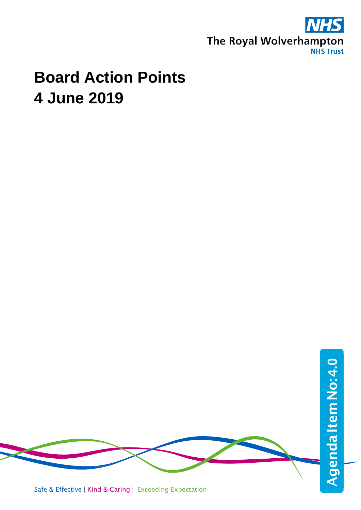

## **Board Action Points 4 June 2019**

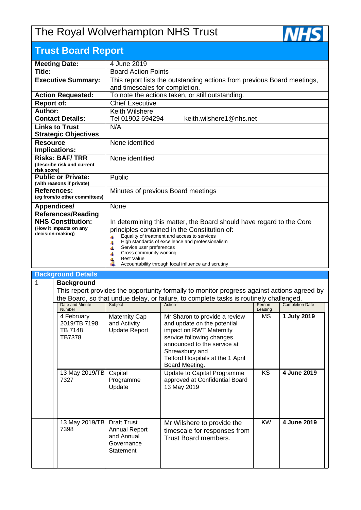## The Royal Wolverhampton NHS Trust



| <b>Trust Board Report</b>                  |                                                                                                             |
|--------------------------------------------|-------------------------------------------------------------------------------------------------------------|
| <b>Meeting Date:</b>                       | 4 June 2019                                                                                                 |
| Title:                                     | <b>Board Action Points</b>                                                                                  |
| <b>Executive Summary:</b>                  | This report lists the outstanding actions from previous Board meetings,                                     |
|                                            | and timescales for completion.                                                                              |
| <b>Action Requested:</b>                   | To note the actions taken, or still outstanding.                                                            |
| <b>Report of:</b>                          | <b>Chief Executive</b>                                                                                      |
| Author:                                    | <b>Keith Wilshere</b>                                                                                       |
| <b>Contact Details:</b>                    | Tel 01902 694294<br>keith.wilshere1@nhs.net                                                                 |
| <b>Links to Trust</b>                      | N/A                                                                                                         |
| <b>Strategic Objectives</b>                |                                                                                                             |
| <b>Resource</b>                            | None identified                                                                                             |
| Implications:                              |                                                                                                             |
| <b>Risks: BAF/TRR</b>                      | None identified                                                                                             |
| (describe risk and current<br>risk score)  |                                                                                                             |
| <b>Public or Private:</b>                  | Public                                                                                                      |
| (with reasons if private)                  |                                                                                                             |
| <b>References:</b>                         | Minutes of previous Board meetings                                                                          |
| (eg from/to other committees)              |                                                                                                             |
| <b>Appendices/</b>                         | None                                                                                                        |
| <b>References/Reading</b>                  |                                                                                                             |
| <b>NHS Constitution:</b>                   | In determining this matter, the Board should have regard to the Core                                        |
| (How it impacts on any<br>decision-making) | principles contained in the Constitution of:                                                                |
|                                            | Equality of treatment and access to services<br>41<br>High standards of excellence and professionalism<br>Ł |
|                                            | Service user preferences                                                                                    |
|                                            | Cross community working                                                                                     |
|                                            | <b>Best Value</b><br>Accountability through local influence and scrutiny                                    |
|                                            |                                                                                                             |

## **Background Details**

1 **Background** This report provides the opportunity formally to monitor progress against actions agreed by the Board, so that undue delay, or failure, to complete tasks is routinely challenged.<br>
Date and Minute | Subject | Action | Action | Person | Completion Date and Minute Number Subject **Person Action Person Leading** Completion Date 4 February 2019/TB 7198 TB 7148 TB7378 Maternity Cap and Activity Update Report Mr Sharon to provide a review and update on the potential impact on RWT Maternity service following changes announced to the service at Shrewsbury and Telford Hospitals at the 1 April Board Meeting. MS **1 July 2019** 13 May 2019/TB 7327 **Capital** Programme Update Update to Capital Programme approved at Confidential Board 13 May 2019 KS **4 June 2019** 13 May 2019/TB 7398 Draft Trust Annual Report and Annual Mr Wilshere to provide the timescale for responses from Trust Board members. KW **4 June 2019**

**Governance Statement**